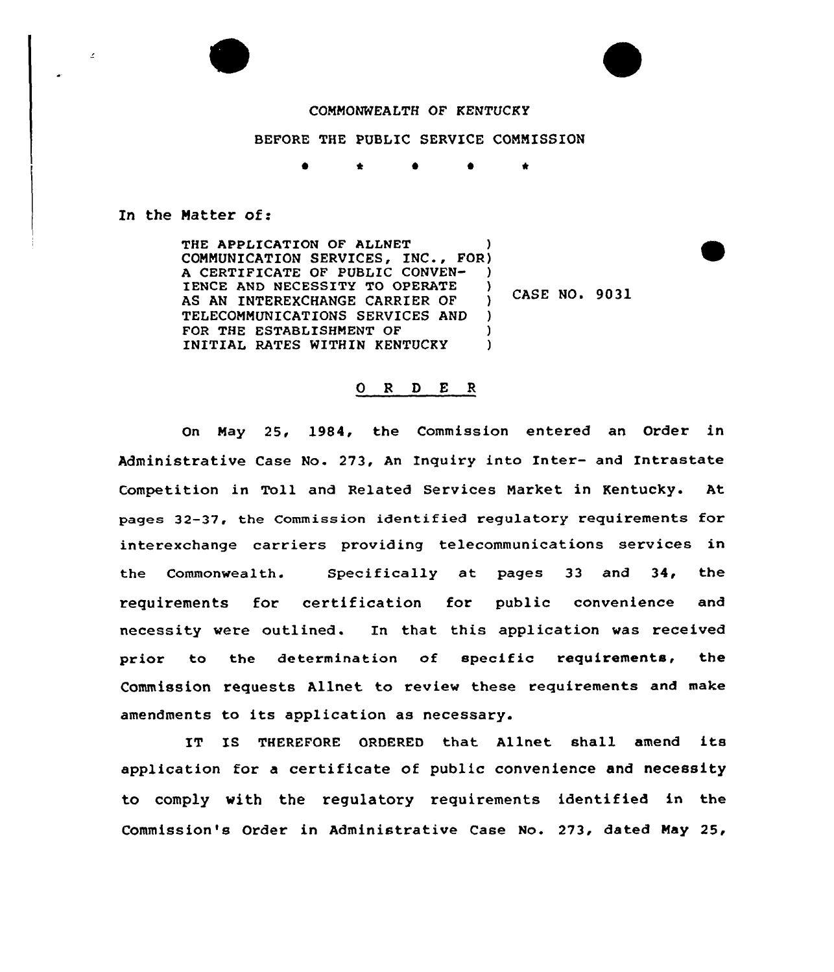

## COMMONWEALTH OF KENTUCKY

## BEFORE THE PUBLIC SERVICE CONNISSION

 $\bullet$   $\star$ 

## In the Natter of:

THE APPLICATION OF ALLNET CONNUNICATION SERVICES, INC., FOR) A CERTIFICATE OF PUBLIC CONVEN-IENCE AND NECESSITY TO OPERATE )<br>AS AN INTEREXCHANGE CARRIER OF ) AS AN INTEREXCHANGE CARRIER OF TELECONNUNICATIONS SERVICES AND ) FOR THE ESTABLISHMENT OF (1) INITIAL RATES WITHIN KENTUCKY )

CASE NO. 9031

## ORDER

On Nay 25, 1984, the Commission entered an Order in Administrative Case No. 273, An Inquiry into Inter- and Intrastate Competition in Toll and Related Services Narket in Kentucky. At pages 32-37, the Commission identified regulatory requirements for interexchange carriers providing telecommunications services in the Commonwealth. Specifically at pages 33 and 34, the requirements for certification for public convenience and necessity were outlined. In that this application was received prior to the determination of specific requirements, the Commission requests Allnet to review these requirements and make amendments to its application as necessary.

IT IS THEREFORE ORDERED that Allnet shall amend its application for a certificate of public convenience and necessity to comply with the regulatory requirements identified in the Commission's Order in Administrative Case No. 273, dated Nay 25,